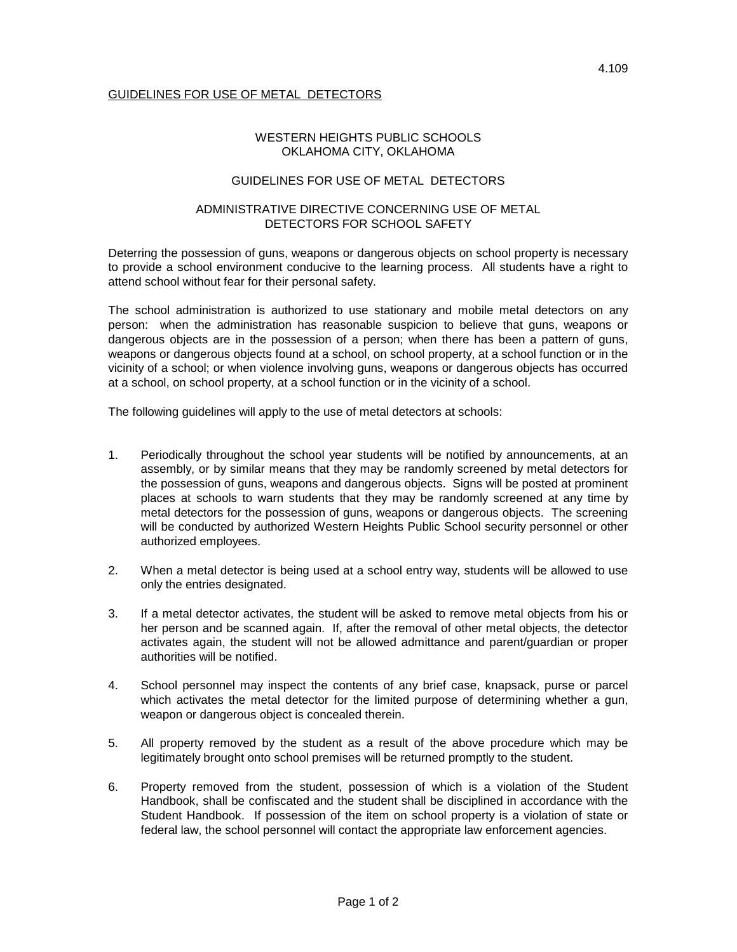## GUIDELINES FOR USE OF METAL DETECTORS

# WESTERN HEIGHTS PUBLIC SCHOOLS OKLAHOMA CITY, OKLAHOMA

#### GUIDELINES FOR USE OF METAL DETECTORS

#### ADMINISTRATIVE DIRECTIVE CONCERNING USE OF METAL DETECTORS FOR SCHOOL SAFETY

Deterring the possession of guns, weapons or dangerous objects on school property is necessary to provide a school environment conducive to the learning process. All students have a right to attend school without fear for their personal safety.

The school administration is authorized to use stationary and mobile metal detectors on any person: when the administration has reasonable suspicion to believe that guns, weapons or dangerous objects are in the possession of a person; when there has been a pattern of guns, weapons or dangerous objects found at a school, on school property, at a school function or in the vicinity of a school; or when violence involving guns, weapons or dangerous objects has occurred at a school, on school property, at a school function or in the vicinity of a school.

The following guidelines will apply to the use of metal detectors at schools:

- 1. Periodically throughout the school year students will be notified by announcements, at an assembly, or by similar means that they may be randomly screened by metal detectors for the possession of guns, weapons and dangerous objects. Signs will be posted at prominent places at schools to warn students that they may be randomly screened at any time by metal detectors for the possession of guns, weapons or dangerous objects. The screening will be conducted by authorized Western Heights Public School security personnel or other authorized employees.
- 2. When a metal detector is being used at a school entry way, students will be allowed to use only the entries designated.
- 3. If a metal detector activates, the student will be asked to remove metal objects from his or her person and be scanned again. If, after the removal of other metal objects, the detector activates again, the student will not be allowed admittance and parent/guardian or proper authorities will be notified.
- 4. School personnel may inspect the contents of any brief case, knapsack, purse or parcel which activates the metal detector for the limited purpose of determining whether a gun, weapon or dangerous object is concealed therein.
- 5. All property removed by the student as a result of the above procedure which may be legitimately brought onto school premises will be returned promptly to the student.
- 6. Property removed from the student, possession of which is a violation of the Student Handbook, shall be confiscated and the student shall be disciplined in accordance with the Student Handbook. If possession of the item on school property is a violation of state or federal law, the school personnel will contact the appropriate law enforcement agencies.